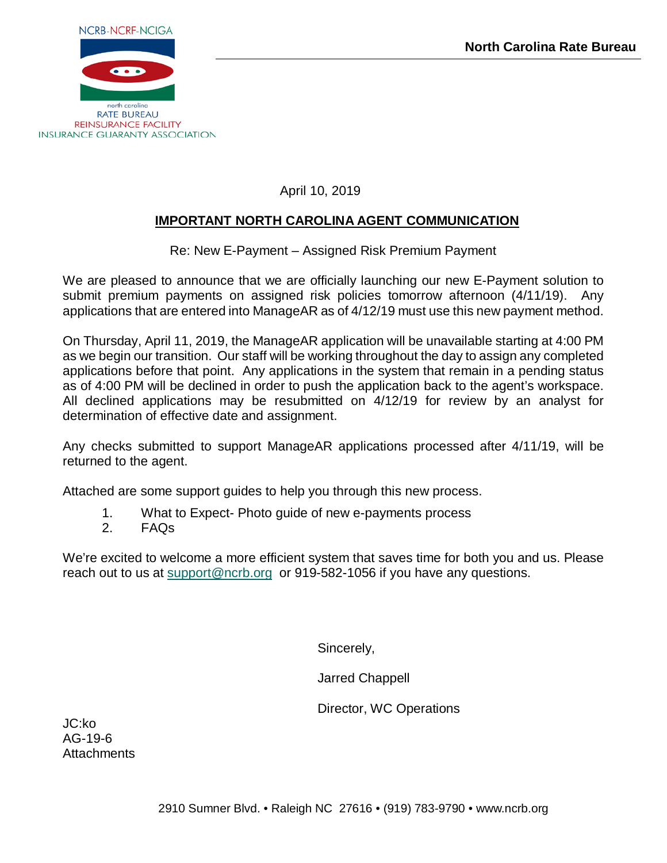

April 10, 2019

# **IMPORTANT NORTH CAROLINA AGENT COMMUNICATION**

Re: New E-Payment – Assigned Risk Premium Payment

We are pleased to announce that we are officially launching our new E-Payment solution to submit premium payments on assigned risk policies tomorrow afternoon (4/11/19). Any applications that are entered into ManageAR as of 4/12/19 must use this new payment method.

On Thursday, April 11, 2019, the ManageAR application will be unavailable starting at 4:00 PM as we begin our transition. Our staff will be working throughout the day to assign any completed applications before that point. Any applications in the system that remain in a pending status as of 4:00 PM will be declined in order to push the application back to the agent's workspace. All declined applications may be resubmitted on 4/12/19 for review by an analyst for determination of effective date and assignment.

Any checks submitted to support ManageAR applications processed after 4/11/19, will be returned to the agent.

Attached are some support guides to help you through this new process.

- 1. What to Expect- Photo guide of new e-payments process
- 2. FAQs

We're excited to welcome a more efficient system that saves time for both you and us. Please reach out to us at [support@ncrb.org](mailto:support@ncrb.org) or 919-582-1056 if you have any questions.

Sincerely,

Jarred Chappell

Director, WC Operations

JC:ko AG-19-6 **Attachments**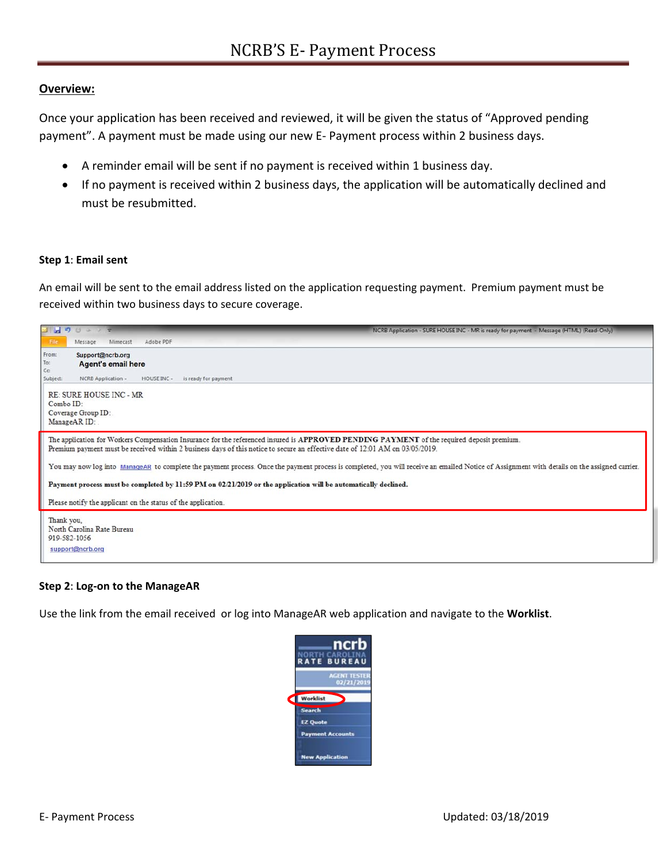### **Overview:**

Once your application has been received and reviewed, it will be given the status of "Approved pending payment". A payment must be made using our new E‐ Payment process within 2 business days.

- A reminder email will be sent if no payment is received within 1 business day.
- If no payment is received within 2 business days, the application will be automatically declined and must be resubmitted.

### **Step 1**: **Email sent**

An email will be sent to the email address listed on the application requesting payment. Premium payment must be received within two business days to secure coverage.

|                            | 日につじょとす<br>NCRB Application - SURE HOUSE INC - MR is ready for payment - Message (HTML) (Read-Only)                                                                                                                                                                         |
|----------------------------|-----------------------------------------------------------------------------------------------------------------------------------------------------------------------------------------------------------------------------------------------------------------------------|
| File                       | Mimecast<br>Adobe PDF<br>Message                                                                                                                                                                                                                                            |
| From:                      | Support@ncrb.org                                                                                                                                                                                                                                                            |
| To:                        | <b>Agent's email here</b>                                                                                                                                                                                                                                                   |
| Cc<br>Subject:             | NCRB Application -<br>HOUSE INC -<br>is ready for payment                                                                                                                                                                                                                   |
|                            | <b>RE: SURE HOUSE INC - MR</b>                                                                                                                                                                                                                                              |
| Combo ID:                  |                                                                                                                                                                                                                                                                             |
|                            | Coverage Group ID:                                                                                                                                                                                                                                                          |
| ManageAR ID:               |                                                                                                                                                                                                                                                                             |
|                            | The application for Workers Compensation Insurance for the referenced insured is APPROVED PENDING PAYMENT of the required deposit premium.<br>Premium payment must be received within 2 business days of this notice to secure an effective date of 12:01 AM on 03/05/2019. |
|                            | You may now log into ManageAR to complete the payment process. Once the payment process is completed, you will receive an emailed Notice of Assignment with details on the assigned carrier.                                                                                |
|                            | Payment process must be completed by 11:59 PM on 02/21/2019 or the application will be automatically declined.                                                                                                                                                              |
|                            | Please notify the applicant on the status of the application.                                                                                                                                                                                                               |
| Thank you,<br>919-582-1056 | North Carolina Rate Bureau<br>support@ncrb.org                                                                                                                                                                                                                              |
|                            |                                                                                                                                                                                                                                                                             |

### **Step 2**: **Log‐on to the ManageAR**

Use the link from the email received or log into ManageAR web application and navigate to the **Worklist**.

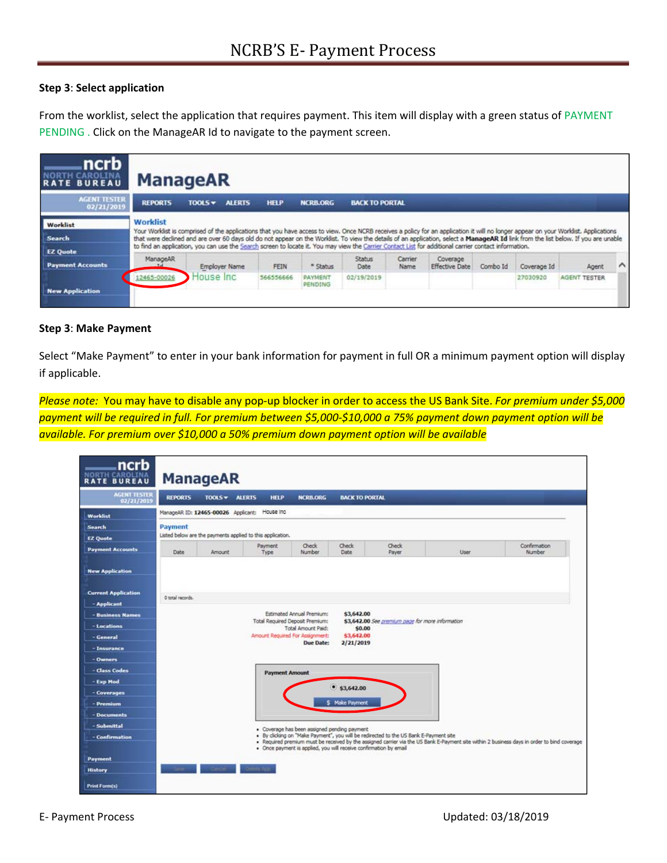### **Step 3**: **Select application**

From the worklist, select the application that requires payment. This item will display with a green status of PAYMENT PENDING . Click on the ManageAR Id to navigate to the payment screen.

| ncrb<br><b>RATE BUREAU</b>        | <b>ManageAR</b> |                      |               |             |                    |                       |                 |                                                                                                                                                       |          |             |                                                                                                                                                                                                                                                                                                                                                                           |        |
|-----------------------------------|-----------------|----------------------|---------------|-------------|--------------------|-----------------------|-----------------|-------------------------------------------------------------------------------------------------------------------------------------------------------|----------|-------------|---------------------------------------------------------------------------------------------------------------------------------------------------------------------------------------------------------------------------------------------------------------------------------------------------------------------------------------------------------------------------|--------|
| <b>AGENT TESTER</b><br>02/21/2019 | <b>REPORTS</b>  | <b>TOOLS +</b>       | <b>ALERTS</b> | <b>HELP</b> | <b>NCRB.ORG</b>    | <b>BACK TO PORTAL</b> |                 |                                                                                                                                                       |          |             |                                                                                                                                                                                                                                                                                                                                                                           |        |
| Worklist                          | <b>Worklist</b> |                      |               |             |                    |                       |                 |                                                                                                                                                       |          |             |                                                                                                                                                                                                                                                                                                                                                                           |        |
| <b>Search</b>                     |                 |                      |               |             |                    |                       |                 | to find an application, you can use the Search screen to locate it. You may view the Carrier Contact List for additional carrier contact information. |          |             | Your Worklist is comprised of the applications that you have access to view. Once NCRB receives a policy for an application it will no longer appear on your Worklist. Applications<br>that were declined and are over 60 days old do not appear on the Worklist. To view the details of an application, select a ManageAR Id link from the list below. If you are unable |        |
| <b>EZ</b> Quote                   |                 |                      |               |             |                    |                       |                 |                                                                                                                                                       |          |             |                                                                                                                                                                                                                                                                                                                                                                           |        |
| <b>Payment Accounts</b>           | ManageAR        | <b>Employer Name</b> |               | FEIN        | * Status           | <b>Status</b><br>Date | Carrier<br>Name | Coverage<br><b>Effective Date</b>                                                                                                                     | Combo Id | Coverage Id | Agent                                                                                                                                                                                                                                                                                                                                                                     | $\sim$ |
|                                   | 2465-00026      | House Inc.           |               | 566556666   | PAYMENT<br>PENDING | 02/19/2019            |                 |                                                                                                                                                       |          | 27030920    | AGENT TESTER                                                                                                                                                                                                                                                                                                                                                              |        |
| <b>New Application</b>            |                 |                      |               |             |                    |                       |                 |                                                                                                                                                       |          |             |                                                                                                                                                                                                                                                                                                                                                                           |        |

### **Step 3**: **Make Payment**

Select "Make Payment" to enter in your bank information for payment in full OR a minimum payment option will display if applicable.

*Please note:* You may have to disable any pop‐up blocker in order to access the US Bank Site. *For premium under \$5,000 payment will be required in full. For premium between \$5,000‐\$10,000 a 75% payment down payment option will be available. For premium over \$10,000 a 50% premium down payment option will be available* 

| 02/21/2019                 | <b>REPORTS</b>   | TOOLS v ALERTS | <b>HELP</b>                                                | <b>NCRB.ORG</b>                                              | <b>BACK TO PORTAL</b>                        |                                                  |      |                        |
|----------------------------|------------------|----------------|------------------------------------------------------------|--------------------------------------------------------------|----------------------------------------------|--------------------------------------------------|------|------------------------|
| <b>Worklist</b>            |                  |                | ManageAR ID: 12465-00026 Applicant: House Inc              |                                                              |                                              |                                                  |      |                        |
| <b>Search</b>              | Payment          |                |                                                            |                                                              |                                              |                                                  |      |                        |
| <b>EZ Quote</b>            |                  |                | Listed below are the payments applied to this application. |                                                              |                                              |                                                  |      |                        |
| <b>Payment Accounts</b>    | Date             | Amount         | <b>Payment</b><br>Type                                     | <b>Check</b><br>Number                                       | <b>Check</b><br>Date                         | <b>Check</b><br>Payer                            | User | Confirmation<br>Number |
| <b>New Application</b>     |                  |                |                                                            |                                                              |                                              |                                                  |      |                        |
| <b>Current Application</b> | 0 total records. |                |                                                            |                                                              |                                              |                                                  |      |                        |
| - Applicant                |                  |                |                                                            |                                                              |                                              |                                                  |      |                        |
| - Business Names           |                  |                |                                                            | Estimated Annual Premium:                                    | \$3,642.00                                   |                                                  |      |                        |
| - Locations                |                  |                |                                                            | Total Required Deposit Premium:<br><b>Total Amount Paid:</b> | \$0,00                                       | \$3,642.00 See premium page for more information |      |                        |
| - General                  |                  |                |                                                            | Amount Required For Assignment:<br><b>Due Date:</b>          | \$3,642.00<br>2/21/2019                      |                                                  |      |                        |
| - Insurance                |                  |                |                                                            |                                                              |                                              |                                                  |      |                        |
| - Owners                   |                  |                |                                                            |                                                              |                                              |                                                  |      |                        |
| - Class Codes              |                  |                | <b>Payment Amount</b>                                      |                                                              |                                              |                                                  |      |                        |
| - Exp Mod                  |                  |                |                                                            |                                                              |                                              |                                                  |      |                        |
| - Coverages                |                  |                |                                                            |                                                              | $•$ \$3,642.00                               |                                                  |      |                        |
|                            |                  |                |                                                            |                                                              | <b>S</b> Make Payment                        |                                                  |      |                        |
| - Premium                  |                  |                |                                                            |                                                              |                                              |                                                  |      |                        |
| - Documents                |                  |                |                                                            |                                                              | · Coverage has been assigned pending payment |                                                  |      |                        |
| - Submittal                |                  |                |                                                            |                                                              |                                              |                                                  |      |                        |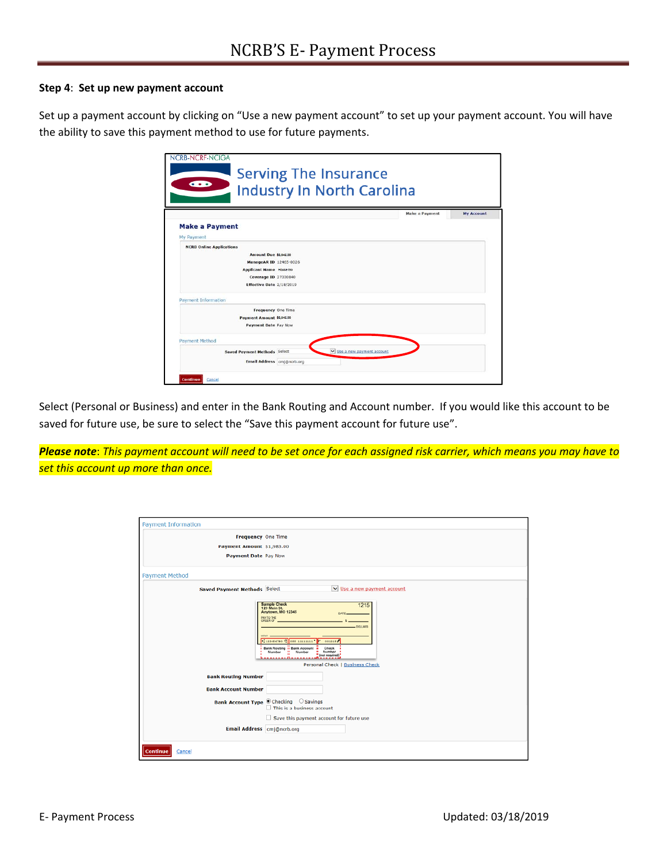### **Step 4**: **Set up new payment account**

Set up a payment account by clicking on "Use a new payment account" to set up your payment account. You will have the ability to save this payment method to use for future payments.

|                                     |                            | <b>Industry In North Carolina</b> |                       |                   |
|-------------------------------------|----------------------------|-----------------------------------|-----------------------|-------------------|
|                                     |                            |                                   |                       |                   |
|                                     |                            |                                   | <b>Make a Payment</b> | <b>My Account</b> |
| <b>Make a Payment</b>               |                            |                                   |                       |                   |
| My Payment                          |                            |                                   |                       |                   |
| <b>NCRB Online Applications</b>     |                            |                                   |                       |                   |
| <b>Amount Due \$1,842.00</b>        |                            |                                   |                       |                   |
| ManageAR ID 12465-0026              |                            |                                   |                       |                   |
| <b>Applicant Name House Ino</b>     |                            |                                   |                       |                   |
| Coverage ID 27030840                |                            |                                   |                       |                   |
| Effective Date 2/18/2019            |                            |                                   |                       |                   |
| <b>Payment Information</b>          |                            |                                   |                       |                   |
| Frequency One Time                  |                            |                                   |                       |                   |
| Payment Amount \$3,842.00           |                            |                                   |                       |                   |
| Payment Date Pay Now                |                            |                                   |                       |                   |
| <b>Payment Method</b>               |                            |                                   |                       |                   |
| <b>Saved Payment Methods Select</b> |                            | v Use a new payment account       |                       |                   |
|                                     | Email Address cmi@ncrb.org |                                   |                       |                   |

Select (Personal or Business) and enter in the Bank Routing and Account number. If you would like this account to be saved for future use, be sure to select the "Save this payment account for future use".

*Please note*: *This payment account will need to be set once for each assigned risk carrier, which means you may have to set this account up more than once.*

| <b>Payment Information</b>          |                                                                                                                                                                                                                                                                                                             |
|-------------------------------------|-------------------------------------------------------------------------------------------------------------------------------------------------------------------------------------------------------------------------------------------------------------------------------------------------------------|
| Frequency One Time                  |                                                                                                                                                                                                                                                                                                             |
| Payment Amount \$1,983.00           |                                                                                                                                                                                                                                                                                                             |
| <b>Payment Date Pay Now</b>         |                                                                                                                                                                                                                                                                                                             |
| <b>Payment Method</b>               |                                                                                                                                                                                                                                                                                                             |
| <b>Saved Payment Methods Select</b> | V Use a new payment account                                                                                                                                                                                                                                                                                 |
|                                     | Sample Check<br>123 Main St.<br>1215<br>Anytown, MO 12345<br>DATE.<br>PAY TO THE<br><b>ORDER OF</b><br>DOLLARS.<br>1,123456780 1, 055 11111111<br>001215<br><b>Bank Routing  Bank Account </b><br>Check<br><b>SH</b><br>Number<br>Number<br>Number<br>tool required)<br><br>Personal Check   Business Check |
| <b>Bank Routing Number</b>          |                                                                                                                                                                                                                                                                                                             |
| <b>Bank Account Number</b>          |                                                                                                                                                                                                                                                                                                             |
|                                     | Bank Account Type ® Checking Savings<br>$\Box$ This is a business account<br>$\Box$ Save this payment account for future use                                                                                                                                                                                |
| Email Address cmj@ncrb.org          |                                                                                                                                                                                                                                                                                                             |
| <b>Continue</b><br>Cancel           |                                                                                                                                                                                                                                                                                                             |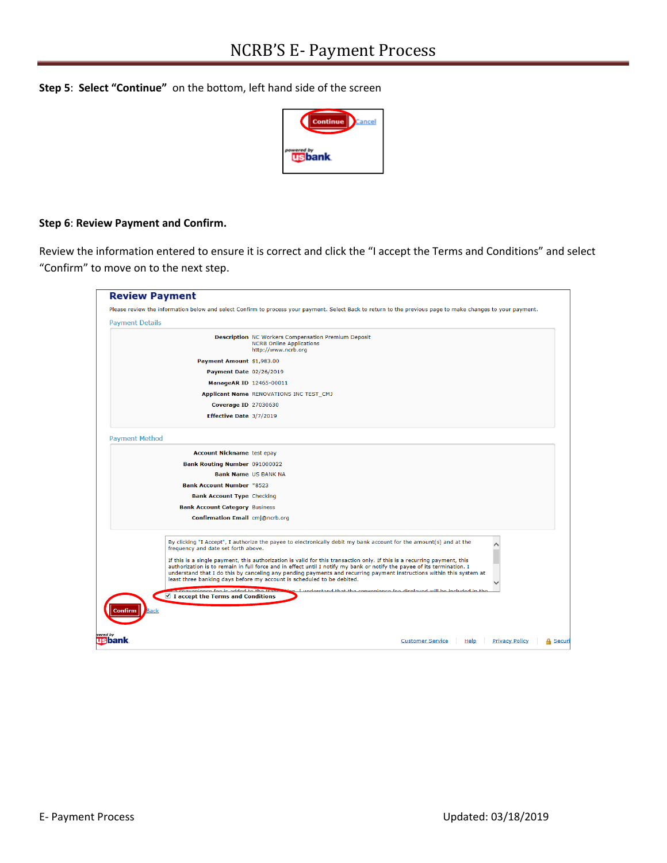**Step 5**: **Select "Continue"** on the bottom, left hand side of the screen



## **Step 6**: **Review Payment and Confirm.**

Review the information entered to ensure it is correct and click the "I accept the Terms and Conditions" and select "Confirm" to move on to the next step.

|                        |                                                                               | Please review the information below and select Confirm to process your payment. Select Back to return to the previous page to make changes to your payment.                                                                                                                                                                                                                                                                                           |                                                                            |  |
|------------------------|-------------------------------------------------------------------------------|-------------------------------------------------------------------------------------------------------------------------------------------------------------------------------------------------------------------------------------------------------------------------------------------------------------------------------------------------------------------------------------------------------------------------------------------------------|----------------------------------------------------------------------------|--|
| <b>Payment Details</b> |                                                                               |                                                                                                                                                                                                                                                                                                                                                                                                                                                       |                                                                            |  |
|                        |                                                                               | <b>Description</b> NC Workers Compensation Premium Deposit<br><b>NCRB Online Applications</b><br>http://www.ncrb.org                                                                                                                                                                                                                                                                                                                                  |                                                                            |  |
|                        | Payment Amount \$1,983.00                                                     |                                                                                                                                                                                                                                                                                                                                                                                                                                                       |                                                                            |  |
|                        | Payment Date 02/26/2019                                                       |                                                                                                                                                                                                                                                                                                                                                                                                                                                       |                                                                            |  |
|                        | ManageAR ID 12465-00011                                                       |                                                                                                                                                                                                                                                                                                                                                                                                                                                       |                                                                            |  |
|                        |                                                                               | Applicant Name RENOVATIONS INC TEST_CMJ                                                                                                                                                                                                                                                                                                                                                                                                               |                                                                            |  |
|                        | Coverage ID 27030630                                                          |                                                                                                                                                                                                                                                                                                                                                                                                                                                       |                                                                            |  |
|                        | Effective Date 3/7/2019                                                       |                                                                                                                                                                                                                                                                                                                                                                                                                                                       |                                                                            |  |
| <b>Payment Method</b>  |                                                                               |                                                                                                                                                                                                                                                                                                                                                                                                                                                       |                                                                            |  |
|                        | <b>Account Nickname test epay</b>                                             |                                                                                                                                                                                                                                                                                                                                                                                                                                                       |                                                                            |  |
|                        | Bank Routing Number 091000022                                                 |                                                                                                                                                                                                                                                                                                                                                                                                                                                       |                                                                            |  |
|                        | <b>Bank Name US BANK NA</b>                                                   |                                                                                                                                                                                                                                                                                                                                                                                                                                                       |                                                                            |  |
|                        | <b>Bank Account Number *8523</b>                                              |                                                                                                                                                                                                                                                                                                                                                                                                                                                       |                                                                            |  |
|                        | <b>Bank Account Type Checking</b>                                             |                                                                                                                                                                                                                                                                                                                                                                                                                                                       |                                                                            |  |
|                        | <b>Bank Account Category Business</b>                                         |                                                                                                                                                                                                                                                                                                                                                                                                                                                       |                                                                            |  |
|                        | <b>Confirmation Email cmj@ncrb.org</b>                                        |                                                                                                                                                                                                                                                                                                                                                                                                                                                       |                                                                            |  |
|                        | frequency and date set forth above.                                           | By clicking "I Accept", I authorize the payee to electronically debit my bank account for the amount(s) and at the                                                                                                                                                                                                                                                                                                                                    |                                                                            |  |
|                        |                                                                               | If this is a single payment, this authorization is valid for this transaction only. If this is a recurring payment, this<br>authorization is to remain in full force and in effect until I notify my bank or notify the payee of its termination. I<br>understand that I do this by canceling any pending payments and recurring payment instructions within this system at<br>least three banking days before my account is scheduled to be debited. |                                                                            |  |
|                        | a convenience for is added to the true<br>■ I accept the Terms and Conditions |                                                                                                                                                                                                                                                                                                                                                                                                                                                       | on I understand that the convenience for displayed will be included in the |  |
|                        |                                                                               |                                                                                                                                                                                                                                                                                                                                                                                                                                                       |                                                                            |  |
| Confirm<br>Back        |                                                                               |                                                                                                                                                                                                                                                                                                                                                                                                                                                       |                                                                            |  |
|                        |                                                                               |                                                                                                                                                                                                                                                                                                                                                                                                                                                       |                                                                            |  |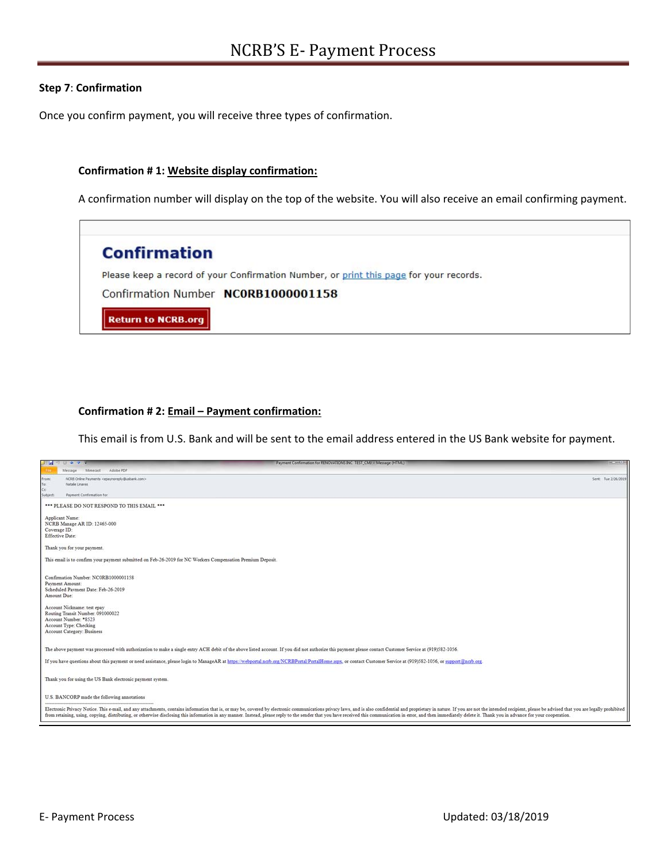### **Step 7**: **Confirmation**

Once you confirm payment, you will receive three types of confirmation.

#### **Confirmation # 1: Website display confirmation:**

A confirmation number will display on the top of the website. You will also receive an email confirming payment.



#### **Confirmation # 2: Email – Payment confirmation:**

This email is from U.S. Bank and will be sent to the email address entered in the US Bank website for payment.

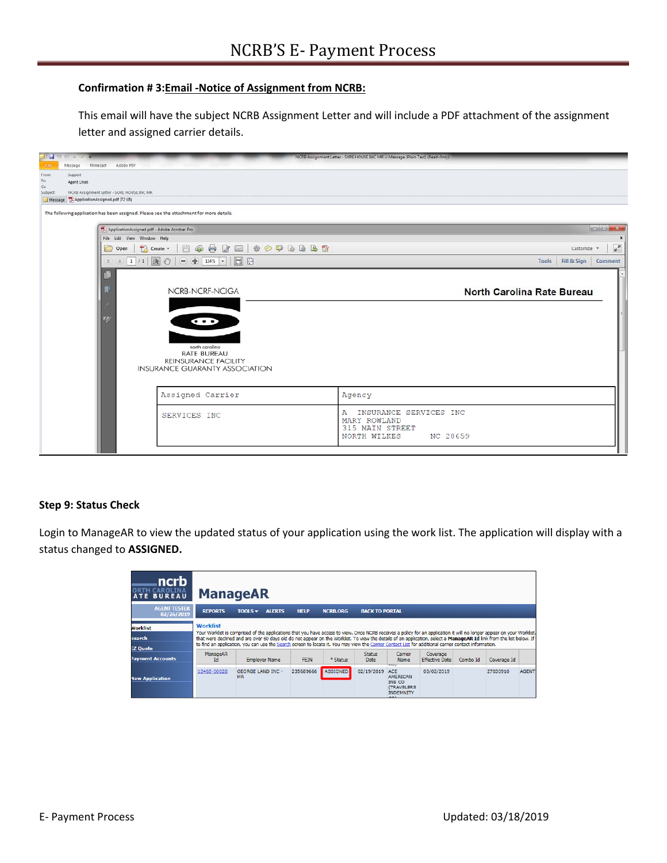### **Confirmation # 3:Email ‐Notice of Assignment from NCRB:**

This email will have the subject NCRB Assignment Letter and will include a PDF attachment of the assignment letter and assigned carrier details.



### **Step 9: Status Check**

Login to ManageAR to view the updated status of your application using the work list. The application will display with a status changed to **ASSIGNED.** 

| ncrb<br><b>ATE BUREAU</b>                           | <b>ManageAR</b>       |                                                                                                                                                                                                                                                                                                                                                                                                                                                                                                        |             |                 |                              |                                                                                                          |                                   |          |             |              |
|-----------------------------------------------------|-----------------------|--------------------------------------------------------------------------------------------------------------------------------------------------------------------------------------------------------------------------------------------------------------------------------------------------------------------------------------------------------------------------------------------------------------------------------------------------------------------------------------------------------|-------------|-----------------|------------------------------|----------------------------------------------------------------------------------------------------------|-----------------------------------|----------|-------------|--------------|
| <b>AGENT TESTER</b><br>02/26/2019                   | <b>REPORTS</b>        | TOOLS<br><b>ALERTS</b>                                                                                                                                                                                                                                                                                                                                                                                                                                                                                 | <b>HELP</b> | <b>NCRB.ORG</b> | <b>BACK TO PORTAL</b>        |                                                                                                          |                                   |          |             |              |
| <b>Worklist</b><br><b>Search</b><br><b>EZ Quote</b> | <b>Worklist</b>       | Your Worklist is comprised of the applications that you have access to view. Once NCRB receives a policy for an application it will no longer appear on your Worklist.<br>that were declined and are over 60 days old do not appear on the Worklist. To view the details of an application, select a ManageAR Id link from the list below. If<br>to find an application, you can use the Search screen to locate it. You may view the Carrier Contact List for additional carrier contact information. |             |                 |                              |                                                                                                          |                                   |          |             |              |
| <b>Payment Accounts</b>                             | <b>ManageAR</b><br>Id | <b>Employer Name</b>                                                                                                                                                                                                                                                                                                                                                                                                                                                                                   | <b>FEIN</b> | * Status        | <b>Status</b><br><b>Date</b> | Carrier<br><b>Name</b>                                                                                   | Coverage<br><b>Effective Date</b> | Combo Id | Coverage Id |              |
| <b>New Application</b>                              | 12465-00028           | <b>GEORGE LAND INC -</b><br><b>MR</b>                                                                                                                                                                                                                                                                                                                                                                                                                                                                  | 235689666   | <b>ASSIGNED</b> | 02/19/2019                   | ÷<br><b>ACE</b><br><b>AMERICAN</b><br><b>INS CO</b><br><b>(TRAVELERS)</b><br><b>INDEMNITY</b><br>$- - -$ | 03/02/2019                        |          | 27030910    | <b>AGENT</b> |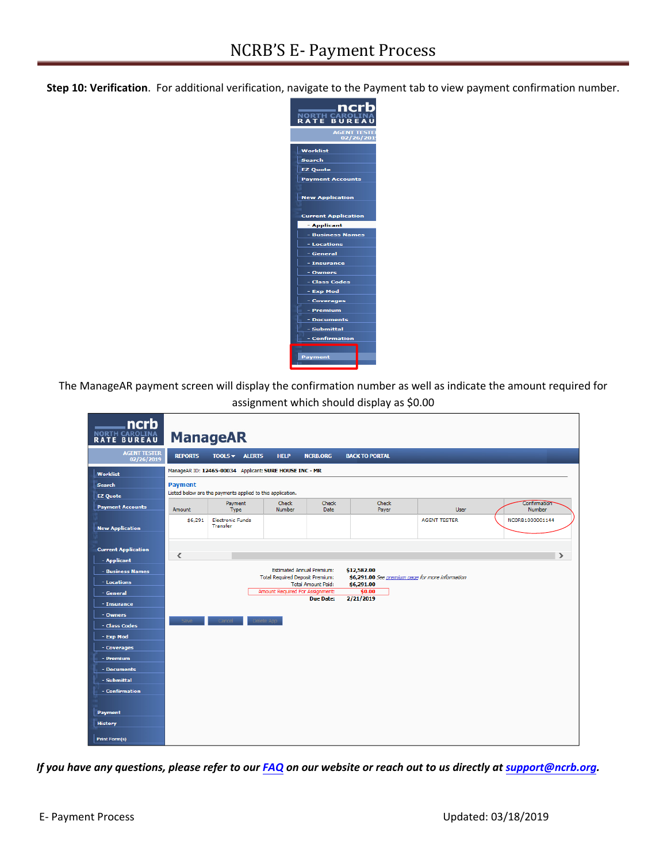**Step 10: Verification**. For additional verification, navigate to the Payment tab to view payment confirmation number.



The ManageAR payment screen will display the confirmation number as well as indicate the amount required for assignment which should display as \$0.00

| ncrb<br>NORTH CAROLINA            |                | <b>ManageAR</b>                                            |                                  |                             |                                                                |                     |                               |
|-----------------------------------|----------------|------------------------------------------------------------|----------------------------------|-----------------------------|----------------------------------------------------------------|---------------------|-------------------------------|
| <b>AGENT TESTER</b><br>02/26/2019 | <b>REPORTS</b> | $TOOLS$ ALERTS                                             | <b>HELP</b>                      | <b>NCRB.ORG</b>             | <b>BACK TO PORTAL</b>                                          |                     |                               |
| Worklist                          |                | ManageAR ID: 12465-00034 Applicant: SURE HOUSE INC - MR    |                                  |                             |                                                                |                     |                               |
| <b>Search</b>                     | <b>Payment</b> |                                                            |                                  |                             |                                                                |                     |                               |
| <b>EZ Quote</b>                   |                | Listed below are the payments applied to this application. |                                  |                             |                                                                |                     |                               |
| <b>Payment Accounts</b>           | Amount         | Payment<br>Type                                            | Check<br><b>Number</b>           | <b>Check</b><br><b>Date</b> | Check<br>Payer                                                 | <b>User</b>         | Confirmation<br><b>Number</b> |
| <b>New Application</b>            | \$6,291        | <b>Electronic Funds</b><br><b>Transfer</b>                 |                                  |                             |                                                                | <b>AGENT TESTER</b> | NC0RB1000001144               |
| <b>Current Application</b>        |                |                                                            |                                  |                             |                                                                |                     |                               |
| - Applicant                       | ∢              |                                                            |                                  |                             |                                                                |                     | $\rightarrow$                 |
| - Business Names                  |                |                                                            | <b>Estimated Annual Premium:</b> |                             | \$12,582.00                                                    |                     |                               |
| - Locations                       |                |                                                            | Total Required Deposit Premium:  | <b>Total Amount Paid:</b>   | \$6,291.00 See premium page for more information<br>\$6,291.00 |                     |                               |
| - General                         |                |                                                            | Amount Required For Assignment:  | Due Date:                   | \$0.00<br>2/21/2019                                            |                     |                               |
| - Insurance                       |                |                                                            |                                  |                             |                                                                |                     |                               |
| - Owners                          | Save           | Cancel                                                     | Delete App                       |                             |                                                                |                     |                               |
| - Class Codes                     |                |                                                            |                                  |                             |                                                                |                     |                               |
| - Exp Mod                         |                |                                                            |                                  |                             |                                                                |                     |                               |
| - Coverages                       |                |                                                            |                                  |                             |                                                                |                     |                               |
| - Premium                         |                |                                                            |                                  |                             |                                                                |                     |                               |
| - Documents<br>- Submittal        |                |                                                            |                                  |                             |                                                                |                     |                               |
| - Confirmation                    |                |                                                            |                                  |                             |                                                                |                     |                               |
|                                   |                |                                                            |                                  |                             |                                                                |                     |                               |
| Payment                           |                |                                                            |                                  |                             |                                                                |                     |                               |
| <b>History</b>                    |                |                                                            |                                  |                             |                                                                |                     |                               |
| <b>Print Form(s)</b>              |                |                                                            |                                  |                             |                                                                |                     |                               |

*If you have any questions, please refer to our [FAQ](http://www.ncrb.org/) on our website or reach out to us directly at support@ncrb.org.*